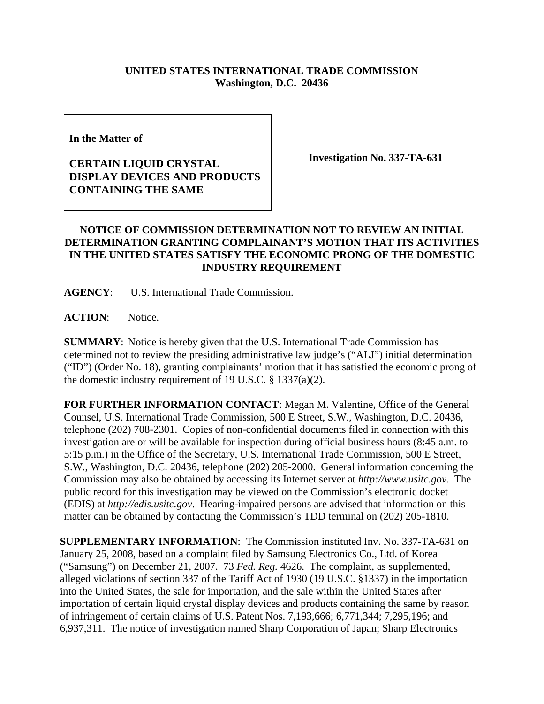## **UNITED STATES INTERNATIONAL TRADE COMMISSION Washington, D.C. 20436**

**In the Matter of** 

## **CERTAIN LIQUID CRYSTAL DISPLAY DEVICES AND PRODUCTS CONTAINING THE SAME**

**Investigation No. 337-TA-631**

## **NOTICE OF COMMISSION DETERMINATION NOT TO REVIEW AN INITIAL DETERMINATION GRANTING COMPLAINANT'S MOTION THAT ITS ACTIVITIES IN THE UNITED STATES SATISFY THE ECONOMIC PRONG OF THE DOMESTIC INDUSTRY REQUIREMENT**

**AGENCY**: U.S. International Trade Commission.

**ACTION**: Notice.

**SUMMARY**: Notice is hereby given that the U.S. International Trade Commission has determined not to review the presiding administrative law judge's ("ALJ") initial determination ("ID") (Order No. 18), granting complainants' motion that it has satisfied the economic prong of the domestic industry requirement of 19 U.S.C. § 1337(a)(2).

**FOR FURTHER INFORMATION CONTACT**: Megan M. Valentine, Office of the General Counsel, U.S. International Trade Commission, 500 E Street, S.W., Washington, D.C. 20436, telephone (202) 708-2301. Copies of non-confidential documents filed in connection with this investigation are or will be available for inspection during official business hours (8:45 a.m. to 5:15 p.m.) in the Office of the Secretary, U.S. International Trade Commission, 500 E Street, S.W., Washington, D.C. 20436, telephone (202) 205-2000. General information concerning the Commission may also be obtained by accessing its Internet server at *http://www.usitc.gov*. The public record for this investigation may be viewed on the Commission's electronic docket (EDIS) at *http://edis.usitc.gov*. Hearing-impaired persons are advised that information on this matter can be obtained by contacting the Commission's TDD terminal on (202) 205-1810.

**SUPPLEMENTARY INFORMATION**: The Commission instituted Inv. No. 337-TA-631 on January 25, 2008, based on a complaint filed by Samsung Electronics Co., Ltd. of Korea ("Samsung") on December 21, 2007. 73 *Fed. Reg.* 4626. The complaint, as supplemented, alleged violations of section 337 of the Tariff Act of 1930 (19 U.S.C. §1337) in the importation into the United States, the sale for importation, and the sale within the United States after importation of certain liquid crystal display devices and products containing the same by reason of infringement of certain claims of U.S. Patent Nos. 7,193,666; 6,771,344; 7,295,196; and 6,937,311. The notice of investigation named Sharp Corporation of Japan; Sharp Electronics